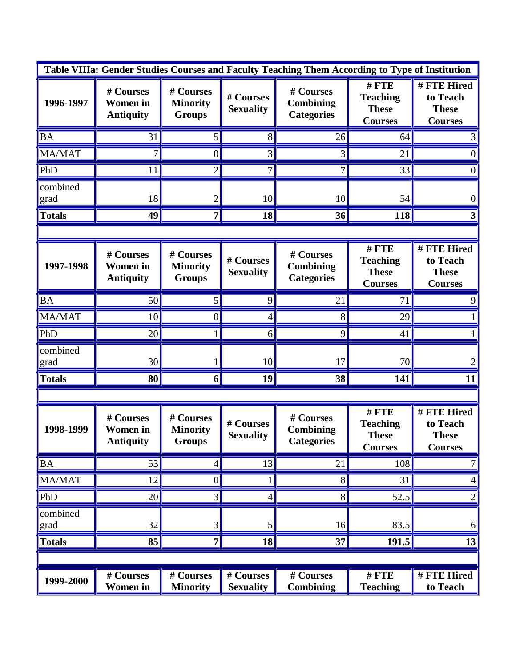| Table VIIIa: Gender Studies Courses and Faculty Teaching Them According to Type of Institution |                                                  |                                               |                               |                                                    |                                                           |                                                           |  |  |  |
|------------------------------------------------------------------------------------------------|--------------------------------------------------|-----------------------------------------------|-------------------------------|----------------------------------------------------|-----------------------------------------------------------|-----------------------------------------------------------|--|--|--|
| 1996-1997                                                                                      | # Courses<br><b>Women</b> in<br><b>Antiquity</b> | # Courses<br><b>Minority</b><br><b>Groups</b> | # Courses<br><b>Sexuality</b> | # Courses<br>Combining<br><b>Categories</b>        | #FTE<br><b>Teaching</b><br><b>These</b><br><b>Courses</b> | # FTE Hired<br>to Teach<br><b>These</b><br><b>Courses</b> |  |  |  |
| <b>BA</b>                                                                                      | 31                                               | 5                                             | 8                             | 26                                                 | 64                                                        |                                                           |  |  |  |
| MA/MAT                                                                                         | 7                                                | $\overline{0}$                                | 3                             | 3                                                  | 21                                                        |                                                           |  |  |  |
| PhD                                                                                            | 11                                               | $\overline{2}$                                | 7                             | 7                                                  | 33                                                        | 0                                                         |  |  |  |
| combined<br>grad                                                                               | 18                                               | 2                                             | 10                            | 10                                                 | 54                                                        | 0                                                         |  |  |  |
| <b>Totals</b>                                                                                  | 49                                               | 7                                             | 18                            | 36                                                 | 118                                                       |                                                           |  |  |  |
|                                                                                                |                                                  |                                               |                               |                                                    |                                                           |                                                           |  |  |  |
| 1997-1998                                                                                      | # Courses<br><b>Women</b> in<br><b>Antiquity</b> | # Courses<br><b>Minority</b><br><b>Groups</b> | # Courses<br><b>Sexuality</b> | # Courses<br><b>Combining</b><br><b>Categories</b> | #FTE<br><b>Teaching</b><br><b>These</b><br><b>Courses</b> | # FTE Hired<br>to Teach<br><b>These</b><br><b>Courses</b> |  |  |  |
| <b>BA</b>                                                                                      | 50                                               | 5                                             | 9                             | 21                                                 | 71                                                        |                                                           |  |  |  |
| MA/MAT                                                                                         | 10                                               | $\overline{0}$                                | 4                             | 8                                                  | 29                                                        |                                                           |  |  |  |
| PhD                                                                                            | 20                                               |                                               | 6                             | 9                                                  | 41                                                        |                                                           |  |  |  |
| combined<br>grad                                                                               | 30                                               |                                               | 10                            | 17                                                 | 70                                                        |                                                           |  |  |  |
| <b>Totals</b>                                                                                  | 80                                               | 6                                             | 19                            | 38                                                 | 141                                                       |                                                           |  |  |  |
|                                                                                                |                                                  |                                               |                               |                                                    |                                                           |                                                           |  |  |  |
| 1998-1999                                                                                      | # Courses<br><b>Women</b> in<br><b>Antiquity</b> | # Courses<br><b>Minority</b><br><b>Groups</b> | # Courses<br><b>Sexuality</b> | # Courses<br><b>Combining</b><br><b>Categories</b> | #FTE<br><b>Teaching</b><br><b>These</b><br><b>Courses</b> | # FTE Hired<br>to Teach<br><b>These</b><br><b>Courses</b> |  |  |  |
| <b>BA</b>                                                                                      | 53                                               | 4                                             | 13                            | 21                                                 | 108                                                       |                                                           |  |  |  |
| MA/MAT                                                                                         | 12                                               | $\boldsymbol{0}$                              |                               | $8\,$                                              | 31                                                        |                                                           |  |  |  |
| PhD                                                                                            | 20                                               | 3                                             | 4                             | 8                                                  | 52.5                                                      | 2                                                         |  |  |  |
| combined<br>grad                                                                               | 32                                               | 3                                             | 5                             | 16                                                 | 83.5                                                      | 6                                                         |  |  |  |
| <b>Totals</b>                                                                                  | 85                                               | 7                                             | 18                            | 37                                                 | 191.5                                                     | 13                                                        |  |  |  |
|                                                                                                |                                                  |                                               |                               |                                                    |                                                           |                                                           |  |  |  |
| 1999-2000                                                                                      | $\overline{\#}$ Courses<br><b>Women</b> in       | # Courses<br><b>Minority</b>                  | # Courses<br><b>Sexuality</b> | # Courses<br><b>Combining</b>                      | $#$ $FTE$<br><b>Teaching</b>                              | # FTE Hired<br>to Teach                                   |  |  |  |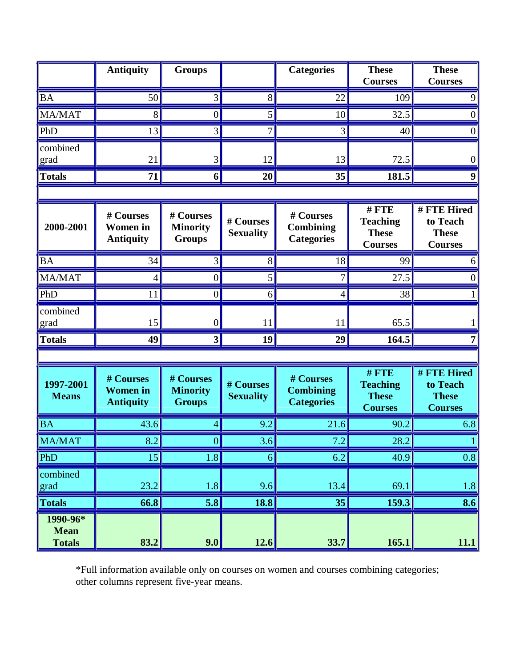|                                          | <b>Antiquity</b>                                 | <b>Groups</b>                                 |                               | <b>Categories</b>                                  | <b>These</b><br><b>Courses</b>                               | <b>These</b><br><b>Courses</b>                            |
|------------------------------------------|--------------------------------------------------|-----------------------------------------------|-------------------------------|----------------------------------------------------|--------------------------------------------------------------|-----------------------------------------------------------|
| <b>BA</b>                                | 50                                               | 3                                             | 8                             | 22                                                 | 109                                                          |                                                           |
| <b>MA/MAT</b>                            | 8                                                | $\overline{0}$                                | 5                             | 10                                                 | 32.5                                                         |                                                           |
| PhD                                      | 13                                               | 3                                             | 7                             | 3                                                  | 40                                                           | 0                                                         |
| combined<br>grad                         | 21                                               | 3                                             | 12                            | 13                                                 | 72.5                                                         | $\theta$                                                  |
| <b>Totals</b>                            | 71                                               | 6                                             | 20                            | 35                                                 | 181.5                                                        |                                                           |
|                                          |                                                  |                                               |                               |                                                    |                                                              |                                                           |
| 2000-2001                                | # Courses<br><b>Women</b> in<br><b>Antiquity</b> | # Courses<br><b>Minority</b><br><b>Groups</b> | # Courses<br><b>Sexuality</b> | # Courses<br><b>Combining</b><br><b>Categories</b> | $#$ FTE<br><b>Teaching</b><br><b>These</b><br><b>Courses</b> | # FTE Hired<br>to Teach<br><b>These</b><br><b>Courses</b> |
| <b>BA</b>                                | 34                                               | 3                                             | 8                             | 18                                                 | 99                                                           |                                                           |
| MA/MAT                                   | 4                                                | 0                                             | 5                             | 7                                                  | 27.5                                                         |                                                           |
| PhD                                      | 11                                               | $\overline{0}$                                | 6                             | 4                                                  | 38                                                           |                                                           |
| combined<br>grad                         | 15                                               | $\boldsymbol{0}$                              | 11                            | 11                                                 | 65.5                                                         |                                                           |
| <b>Totals</b>                            | 49                                               | 3                                             | 19                            | 29                                                 | 164.5                                                        |                                                           |
|                                          |                                                  |                                               |                               |                                                    |                                                              |                                                           |
| 1997-2001<br><b>Means</b>                | # Courses<br><b>Women</b> in<br><b>Antiquity</b> | # Courses<br><b>Minority</b><br><b>Groups</b> | # Courses<br><b>Sexuality</b> | # Courses<br><b>Combining</b><br><b>Categories</b> | $#$ FTE<br><b>Teaching</b><br><b>These</b><br><b>Courses</b> | # FTE Hired<br>to Teach<br><b>These</b><br><b>Courses</b> |
| <b>BA</b>                                | 43.6                                             | 4                                             | 9.2                           | 21.6                                               | 90.2                                                         | 6.8                                                       |
| MA/MAT                                   | 8.2                                              | 0                                             | $\left.3.6\right $            | 7.2                                                | 28.2                                                         |                                                           |
| PhD                                      | 15                                               | 1.8                                           | 6                             | 6.2                                                | 40.9                                                         | 0.8                                                       |
| combined<br>grad                         | 23.2                                             | 1.8                                           | 9.6                           | 13.4                                               | 69.1                                                         | 1.8                                                       |
| <b>Totals</b>                            | 66.8                                             | 5.8                                           | 18.8                          | 35                                                 | 159.3                                                        | 8.6                                                       |
| 1990-96*<br><b>Mean</b><br><b>Totals</b> | 83.2                                             | 9.0                                           | 12.6                          | 33.7                                               | 165.1                                                        | 11.1                                                      |

\*Full information available only on courses on women and courses combining categories; other columns represent five-year means.